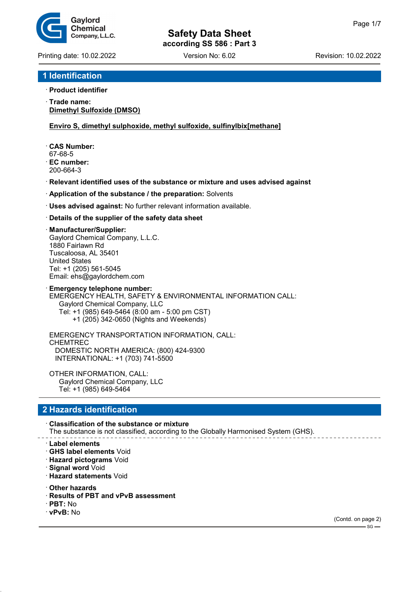

Printing date: 10.02.2022 Version No: 6.02 Revision: 10.02.2022

## **1 Identification**

#### · **Product identifier**

· **Trade name: Dimethyl Sulfoxide (DMSO)**

#### **Enviro S, dimethyl sulphoxide, methyl sulfoxide, sulfinylbix[methane]**

- · **CAS Number:**
- 67-68-5
- · **EC number:** 200-664-3
- · **Relevant identified uses of the substance or mixture and uses advised against**
- · **Application of the substance / the preparation:** Solvents
- · **Uses advised against:** No further relevant information available.

#### · **Details of the supplier of the safety data sheet**

#### · **Manufacturer/Supplier:**

Gaylord Chemical Company, L.L.C. 1880 Fairlawn Rd Tuscaloosa, AL 35401 United States Tel: +1 (205) 561-5045 Email: ehs@gaylordchem.com

**Emergency telephone number:** EMERGENCY HEALTH, SAFETY & ENVIRONMENTAL INFORMATION CALL: Gaylord Chemical Company, LLC Tel: +1 (985) 649-5464 (8:00 am - 5:00 pm CST)

+1 (205) 342-0650 (Nights and Weekends)

EMERGENCY TRANSPORTATION INFORMATION, CALL: CHEMTREC DOMESTIC NORTH AMERICA: (800) 424-9300 INTERNATIONAL: +1 (703) 741-5500

OTHER INFORMATION, CALL: Gaylord Chemical Company, LLC Tel: +1 (985) 649-5464

## **2 Hazards identification**

#### · **Classification of the substance or mixture** The substance is not classified, according to the Globally Harmonised System (GHS).

- · **Label elements**
- · **GHS label elements** Void
- · **Hazard pictograms** Void
- · **Signal word** Void
- · **Hazard statements** Void
- · **Other hazards**
- · **Results of PBT and vPvB assessment**
- · **PBT:** No
- · **vPvB:** No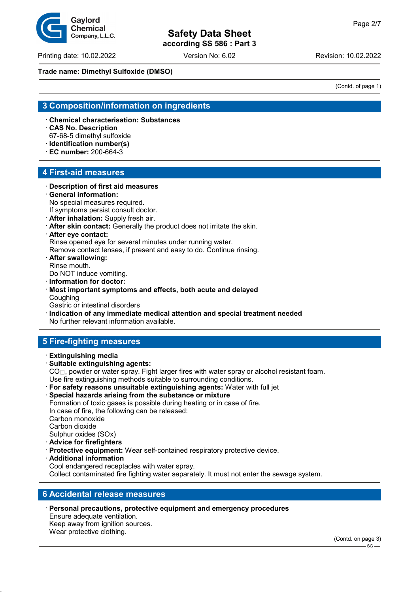# **Safety Data Sheet**

**according SS 586 : Part 3**

Printing date: 10.02.2022 Version No: 6.02 Revision: 10.02.2022

#### **Trade name: Dimethyl Sulfoxide (DMSO)**

## **3 Composition/information on ingredients**

· **Chemical characterisation: Substances**

· **CAS No. Description**

67-68-5 dimethyl sulfoxide

- · **Identification number(s)**
- · **EC number:** 200-664-3

## **4 First-aid measures**

#### · **Description of first aid measures**

· **General information:** No special measures required.

If symptoms persist consult doctor.

· **After inhalation:** Supply fresh air.

· **After skin contact:** Generally the product does not irritate the skin.

# · **After eye contact:**

Rinse opened eye for several minutes under running water.

Remove contact lenses, if present and easy to do. Continue rinsing.

· **After swallowing:** Rinse mouth.

Do NOT induce vomiting.

· **Information for doctor:**

· **Most important symptoms and effects, both acute and delayed** Coughing

Gastric or intestinal disorders

· **Indication of any immediate medical attention and special treatment needed** No further relevant information available.

# **5 Fire-fighting measures**

- · **Extinguishing media**
- · **Suitable extinguishing agents:**

 $CO<sub>||</sub>$ , powder or water spray. Fight larger fires with water spray or alcohol resistant foam.

Use fire extinguishing methods suitable to surrounding conditions.

- · **For safety reasons unsuitable extinguishing agents:** Water with full jet
- Special hazards arising from the substance or mixture Formation of toxic gases is possible during heating or in case of fire. In case of fire, the following can be released: Carbon monoxide Carbon dioxide Sulphur oxides (SOx)
- · **Advice for firefighters**
- **Protective equipment:** Wear self-contained respiratory protective device.
- · **Additional information**

Cool endangered receptacles with water spray. Collect contaminated fire fighting water separately. It must not enter the sewage system.

#### **6 Accidental release measures**

· **Personal precautions, protective equipment and emergency procedures** Ensure adequate ventilation. Keep away from ignition sources. Wear protective clothing.



(Contd. of page 1)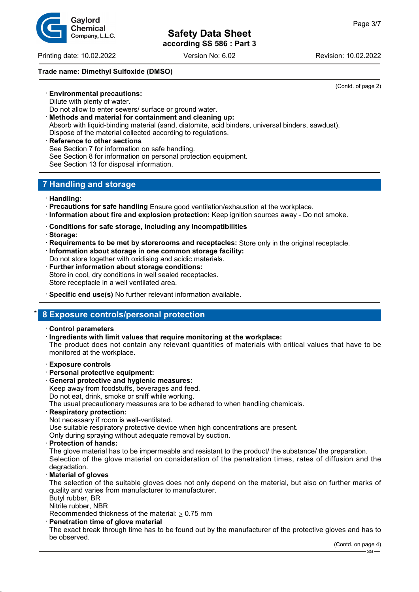Printing date: 10.02.2022 Version No: 6.02 Revision: 10.02.2022

### **Trade name: Dimethyl Sulfoxide (DMSO)**

(Contd. of page 2)

Dilute with plenty of water.

- Do not allow to enter sewers/ surface or ground water.
- · **Methods and material for containment and cleaning up:**
- Absorb with liquid-binding material (sand, diatomite, acid binders, universal binders, sawdust). Dispose of the material collected according to regulations.
- **Reference to other sections** See Section 7 for information on safe handling. See Section 8 for information on personal protection equipment. See Section 13 for disposal information.

## **7 Handling and storage**

- · **Handling:**
- · **Precautions for safe handling** Ensure good ventilation/exhaustion at the workplace.
- · **Information about fire and explosion protection:** Keep ignition sources away Do not smoke.
- · **Conditions for safe storage, including any incompatibilities**
- · **Storage:**
- · **Requirements to be met by storerooms and receptacles:** Store only in the original receptacle. · **Information about storage in one common storage facility:**
- Do not store together with oxidising and acidic materials.
- **Further information about storage conditions:** Store in cool, dry conditions in well sealed receptacles. Store receptacle in a well ventilated area.
- · **Specific end use(s)** No further relevant information available.

## \* **8 Exposure controls/personal protection**

- · **Control parameters**
- · **Ingredients with limit values that require monitoring at the workplace:**

The product does not contain any relevant quantities of materials with critical values that have to be monitored at the workplace.

#### · **Exposure controls**

- · **Personal protective equipment:**
- · **General protective and hygienic measures:**

Keep away from foodstuffs, beverages and feed.

Do not eat, drink, smoke or sniff while working.

The usual precautionary measures are to be adhered to when handling chemicals.

- · **Respiratory protection:**
- Not necessary if room is well-ventilated.

Use suitable respiratory protective device when high concentrations are present.

Only during spraying without adequate removal by suction.

· **Protection of hands:**

The glove material has to be impermeable and resistant to the product/ the substance/ the preparation. Selection of the glove material on consideration of the penetration times, rates of diffusion and the degradation.

· **Material of gloves**

The selection of the suitable gloves does not only depend on the material, but also on further marks of quality and varies from manufacturer to manufacturer.

Butyl rubber, BR

Nitrile rubber, NBR

Recommended thickness of the material:  $> 0.75$  mm

**Penetration time of glove material** 

The exact break through time has to be found out by the manufacturer of the protective gloves and has to be observed.

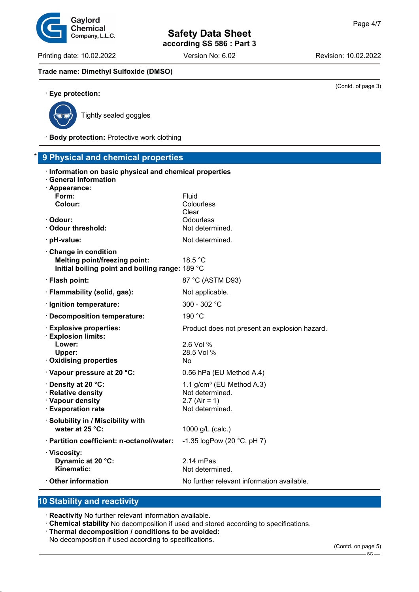**Safety Data Sheet**

**according SS 586 : Part 3**

(Contd. of page 3)

#### **Trade name: Dimethyl Sulfoxide (DMSO)**



· **Eye protection:**

Tightly sealed goggles

· **Body protection:** Protective work clothing

| *<br>9 Physical and chemical properties                                                                                    |                                                                                       |  |  |  |
|----------------------------------------------------------------------------------------------------------------------------|---------------------------------------------------------------------------------------|--|--|--|
| · Information on basic physical and chemical properties<br><b>General Information</b><br>· Appearance:<br>Form:<br>Colour: | Fluid<br>Colourless<br>Clear                                                          |  |  |  |
| · Odour:                                                                                                                   | Odourless                                                                             |  |  |  |
| Odour threshold:                                                                                                           | Not determined.                                                                       |  |  |  |
| $\cdot$ pH-value:                                                                                                          | Not determined.                                                                       |  |  |  |
| Change in condition<br><b>Melting point/freezing point:</b><br>Initial boiling point and boiling range: 189 °C             | 18.5 °C                                                                               |  |  |  |
| · Flash point:                                                                                                             | 87 °C (ASTM D93)                                                                      |  |  |  |
| · Flammability (solid, gas):                                                                                               | Not applicable.                                                                       |  |  |  |
| · Ignition temperature:                                                                                                    | 300 - 302 °C                                                                          |  |  |  |
| · Decomposition temperature:                                                                                               | 190 °C                                                                                |  |  |  |
| <b>Explosive properties:</b><br>· Explosion limits:<br>Lower:<br>Upper:<br>· Oxidising properties                          | Product does not present an explosion hazard.<br>2.6 Vol %<br>28.5 Vol %<br>No        |  |  |  |
| · Vapour pressure at 20 °C:                                                                                                | 0.56 hPa (EU Method A.4)                                                              |  |  |  |
| · Density at 20 °C:<br>· Relative density<br>· Vapour density<br>· Evaporation rate                                        | 1.1 $g/cm^3$ (EU Method A.3)<br>Not determined.<br>$2.7$ (Air = 1)<br>Not determined. |  |  |  |
| · Solubility in / Miscibility with<br>water at 25 °C:                                                                      | 1000 g/L (calc.)                                                                      |  |  |  |
| · Partition coefficient: n-octanol/water:                                                                                  | -1.35 logPow (20 °C, pH 7)                                                            |  |  |  |
| · Viscosity:<br>Dynamic at 20 °C:<br>Kinematic:                                                                            | $2.14$ mPas<br>Not determined.                                                        |  |  |  |
| Other information                                                                                                          | No further relevant information available.                                            |  |  |  |

## **10 Stability and reactivity**

· **Reactivity** No further relevant information available.

- · **Chemical stability** No decomposition if used and stored according to specifications.
- · **Thermal decomposition / conditions to be avoided:**
- No decomposition if used according to specifications.

Gaylord Chemical Company, L.L.C.

Printing date: 10.02.2022 Version No: 6.02 Revision: 10.02.2022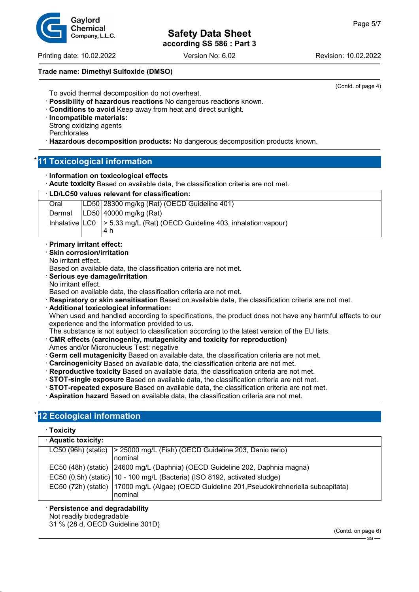Printing date: 10.02.2022 Version No: 6.02 Revision: 10.02.2022

#### **Trade name: Dimethyl Sulfoxide (DMSO)**

(Contd. of page 4)

- To avoid thermal decomposition do not overheat.
- · **Possibility of hazardous reactions** No dangerous reactions known.
- · **Conditions to avoid** Keep away from heat and direct sunlight.
- · **Incompatible materials:** Strong oxidizing agents
- **Perchlorates**
- · **Hazardous decomposition products:** No dangerous decomposition products known.

## **11 Toxicological information**

· **Information on toxicological effects**

**Acute toxicity** Based on available data, the classification criteria are not met.

| <b>LD/LC50 values relevant for classification:</b> |  |
|----------------------------------------------------|--|
|----------------------------------------------------|--|

| Oral | LD50 28300 mg/kg (Rat) (OECD Guideline 401)                                          |
|------|--------------------------------------------------------------------------------------|
|      | Dermal $ LD50 $ 40000 mg/kg (Rat)                                                    |
|      | Inhalative   LC0   > 5.33 mg/L (Rat) (OECD Guideline 403, inhalation: vapour)<br>4 h |
|      |                                                                                      |

- · **Primary irritant effect:**
- **Skin corrosion/irritation**
- No irritant effect.

Based on available data, the classification criteria are not met.

- · **Serious eye damage/irritation**
- No irritant effect.

Based on available data, the classification criteria are not met.

- · **Respiratory or skin sensitisation** Based on available data, the classification criteria are not met.
- · **Additional toxicological information:** When used and handled according to specifications, the product does not have any harmful effects to our experience and the information provided to us.
- The substance is not subject to classification according to the latest version of the EU lists.
- · **CMR effects (carcinogenity, mutagenicity and toxicity for reproduction)**
- Ames and/or Micronucleus Test: negative
- · **Germ cell mutagenicity** Based on available data, the classification criteria are not met.
- · **Carcinogenicity** Based on available data, the classification criteria are not met.
- · **Reproductive toxicity** Based on available data, the classification criteria are not met.
- · **STOT-single exposure** Based on available data, the classification criteria are not met.
- · **STOT-repeated exposure** Based on available data, the classification criteria are not met.
- · **Aspiration hazard** Based on available data, the classification criteria are not met.

## **12 Ecological information**

#### · **Toxicity**

| · Aquatic toxicity: |                                                                                                           |
|---------------------|-----------------------------------------------------------------------------------------------------------|
|                     | LC50 (96h) (static) > 25000 mg/L (Fish) (OECD Guideline 203, Danio rerio)                                 |
|                     | nominal                                                                                                   |
|                     | EC50 (48h) (static)   24600 mg/L (Daphnia) (OECD Guideline 202, Daphnia magna)                            |
|                     | EC50 (0,5h) (static)   10 - 100 mg/L (Bacteria) (ISO 8192, activated sludge)                              |
|                     | EC50 (72h) (static)   17000 mg/L (Algae) (OECD Guideline 201, Pseudokirchneriella subcapitata)<br>nominal |

#### · **Persistence and degradability**

Not readily biodegradable

31 % (28 d, OECD Guideline 301D)

(Contd. on page 6)  $-$  SG  $-$ 

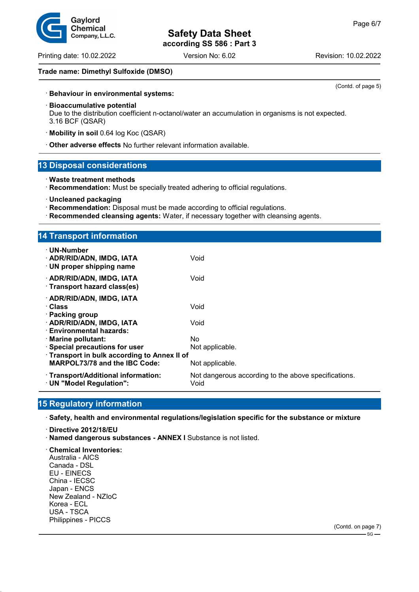Printing date: 10.02.2022 Version No: 6.02 Revision: 10.02.2022

(Contd. of page 5)

### **Trade name: Dimethyl Sulfoxide (DMSO)**

· **Behaviour in environmental systems:**

#### · **Bioaccumulative potential**

Due to the distribution coefficient n-octanol/water an accumulation in organisms is not expected. 3.16 BCF (QSAR)

- · **Mobility in soil** 0.64 log Koc (QSAR)
- · **Other adverse effects** No further relevant information available.

### **13 Disposal considerations**

- · **Waste treatment methods**
- · **Recommendation:** Must be specially treated adhering to official regulations.
- · **Uncleaned packaging**
- · **Recommendation:** Disposal must be made according to official regulations.
- · **Recommended cleansing agents:** Water, if necessary together with cleansing agents.

## **14 Transport information**

| $\cdot$ UN-Number<br>· ADR/RID/ADN, IMDG, IATA<br>$\cdot$ UN proper shipping name | Void                                                         |  |
|-----------------------------------------------------------------------------------|--------------------------------------------------------------|--|
| · ADR/RID/ADN, IMDG, IATA<br>· Transport hazard class(es)                         | Void                                                         |  |
| · ADR/RID/ADN, IMDG, IATA<br>· Class<br>· Packing group                           | Void                                                         |  |
| · ADR/RID/ADN, IMDG, IATA<br>· Environmental hazards:                             | Void                                                         |  |
| · Marine pollutant:                                                               | No.                                                          |  |
| · Special precautions for user                                                    | Not applicable.                                              |  |
| Transport in bulk according to Annex II of                                        |                                                              |  |
| <b>MARPOL73/78 and the IBC Code:</b>                                              | Not applicable.                                              |  |
| · Transport/Additional information:<br>· UN "Model Regulation":                   | Not dangerous according to the above specifications.<br>Void |  |

## **15 Regulatory information**

· **Safety, health and environmental regulations/legislation specific for the substance or mixture**

- · **Directive 2012/18/EU**
- · **Named dangerous substances ANNEX I** Substance is not listed.

· **Chemical Inventories:** Australia - AICS Canada - DSL EU - EINECS China - IECSC Japan - ENCS New Zealand - NZIoC Korea - ECL USA - TSCA Philippines - PICCS

Gavlord **Chemical** Company, L.L.C.